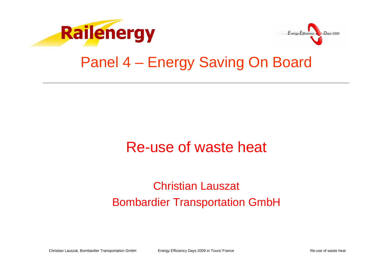



#### Panel 4 – Energy Saving On Board

## Re-use of waste heat

#### Christian LauszatBombardier Transportation GmbH

Christian Lauszat, Bombardier Transportation GmbH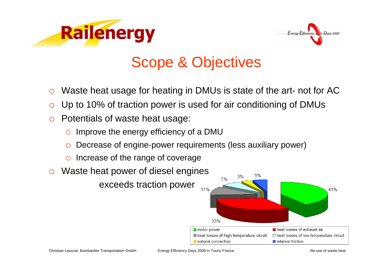



# Scope & Objectives

- $\circ$ Waste heat usage for heating in DMUs is state of the art- not for AC
- $\circ$ Up to 10% of traction power is used for air conditioning of DMUs
- $\circ$  Potentials of waste heat usage:
	- $\Omega$ Improve the energy efficiency of a DMU
	- O Decrease of engine-power requirements (less auxiliary power)
	- O Increase of the range of coverage
- $\bigcirc$ Waste heat power of diesel engines

exceeds traction power



Energy Efficiency Days 2009 in Tours/ France **Research 2008** Re-use of waste heat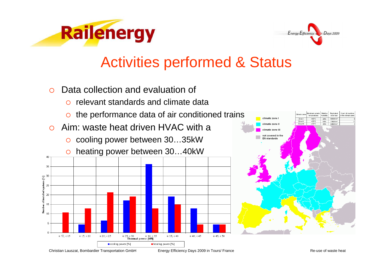



- $\Omega$  Data collection and evaluation of
	- $\bigcap$ relevant standards and climate data
	- $\Omega$ the performance data of air conditioned trains
- $\Omega$  Aim: waste heat driven HVAC with a
	- $\circ$ cooling power between 30…35kW





Christian Lauszat, Bombardier Transportation GmbH

Energy Efficiency Days 2009 in Tours/ France **Reading the Struck and Tours-** Re-use of waste heat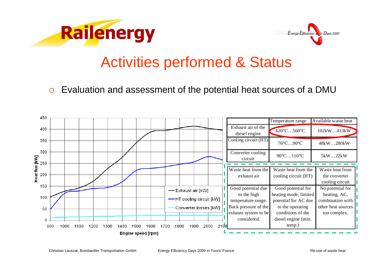



#### $\Omega$ Evaluation and assessment of the potential heat sources of a DMU

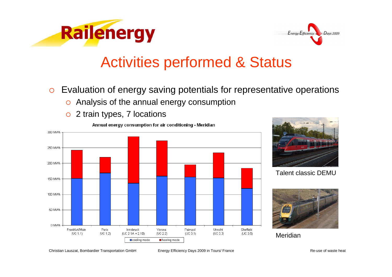



- $\circ$  Evaluation of energy saving potentials for representative operations
	- $\circ$ Analysis of the annual energy consumption
	- $\circ$ 2 train types, 7 locations





Talent classic DEMU



**Meridian** 

Christian Lauszat, Bombardier Transportation GmbH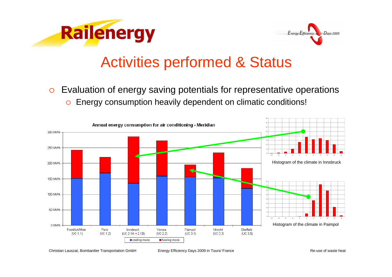



 $\circ$  Evaluation of energy saving potentials for representative operations  $\circ$ Energy consumption heavily dependent on climatic conditions!



Christian Lauszat, Bombardier Transportation GmbH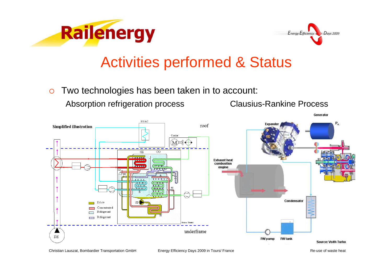



 $\circ$ Two technologies has been taken in to account:

Absorption refrigeration process Clausius-Rankine Process

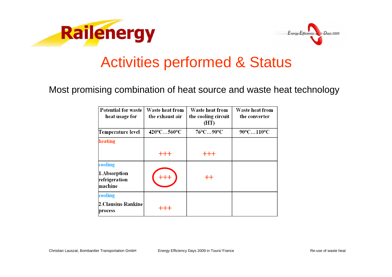



#### Most promising combination of heat source and waste heat technology

| <b>Potential for waste</b><br>heat usage for        | Waste heat from<br>the exhaust air | Waste heat from<br>the cooling circuit<br>(HT) | <b>Waste heat from</b><br>the converter |
|-----------------------------------------------------|------------------------------------|------------------------------------------------|-----------------------------------------|
| Temperature level                                   | $420^{\circ}$ C560 $^{\circ}$ C    | 76°C90°C                                       | 90°C110°C                               |
| heating                                             |                                    |                                                |                                         |
|                                                     | $+ + +$                            | $+ + +$                                        |                                         |
| cooling<br>1.Absorption<br>refrigeration<br>machine |                                    | $++$                                           |                                         |
| cooling<br><b>2.Clausius-Rankine</b><br>process     |                                    |                                                |                                         |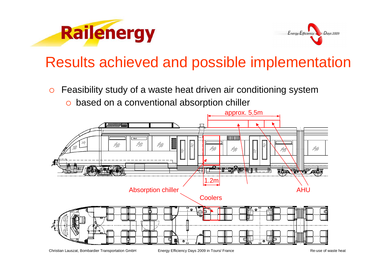



# Results achieved and possible implementation

- $\circ$  Feasibility study of a waste heat driven air conditioning system
	- o based on a conventional absorption chiller

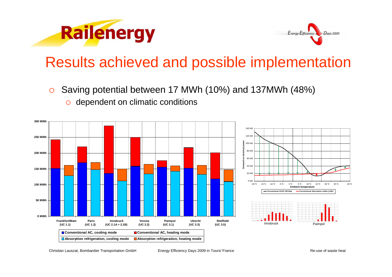



## Results achieved and possible implementation

 $\circ$ Saving potential between 17 MWh (10%) and 137MWh (48%)



o dependent on climatic conditions

Christian Lauszat, Bombardier Transportation GmbH

Energy Efficiency Days 2009 in Tours/ France **Reading the Struck and Tours-** Re-use of waste heat

30 °C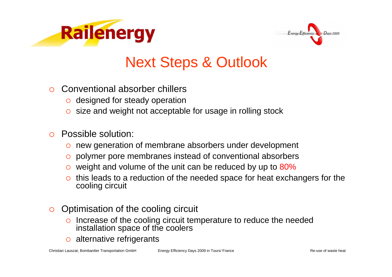



# Next Steps & Outlook

- $\bigcirc$  Conventional absorber chillers
	- o designed for steady operation
	- $\circ$  size and weight not acceptable for usage in rolling stock

#### $\bigcap$ Possible solution:

- o new generation of membrane absorbers under development
- o polymer pore membranes instead of conventional absorbers
- o weight and volume of the unit can be reduced by up to 80%
- $\circ$  this leads to a reduction of the needed space for heat exchangers for the cooling circuit cooling circuit
- $\circ$  Optimisation of the cooling circuit
	- $\Omega$  Increase of the cooling circuit temperature to reduce the needed installation space of the coolers
	- $\circ$ alternative refrigerants